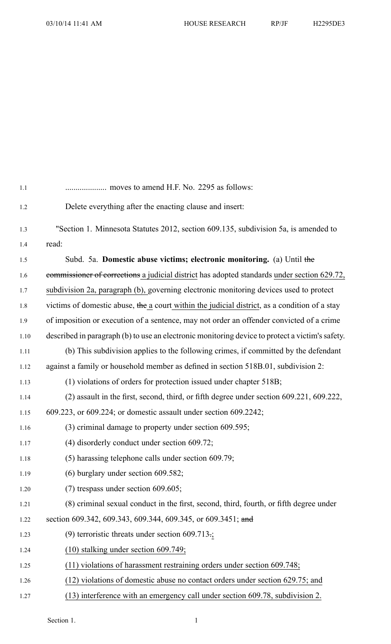| 1.1   |                                                                                                 |
|-------|-------------------------------------------------------------------------------------------------|
| 1.2   | Delete everything after the enacting clause and insert:                                         |
| 1.3   | "Section 1. Minnesota Statutes 2012, section 609.135, subdivision 5a, is amended to             |
| 1.4   | read:                                                                                           |
| 1.5   | Subd. 5a. Domestic abuse victims; electronic monitoring. (a) Until the                          |
| 1.6   | commissioner of corrections a judicial district has adopted standards under section 629.72,     |
| $1.7$ | subdivision 2a, paragraph (b), governing electronic monitoring devices used to protect          |
| 1.8   | victims of domestic abuse, the a court within the judicial district, as a condition of a stay   |
| 1.9   | of imposition or execution of a sentence, may not order an offender convicted of a crime        |
| 1.10  | described in paragraph (b) to use an electronic monitoring device to protect a victim's safety. |
| 1.11  | (b) This subdivision applies to the following crimes, if committed by the defendant             |
| 1.12  | against a family or household member as defined in section 518B.01, subdivision 2:              |
| 1.13  | (1) violations of orders for protection issued under chapter 518B;                              |
| 1.14  | (2) assault in the first, second, third, or fifth degree under section 609.221, 609.222,        |
| 1.15  | 609.223, or 609.224; or domestic assault under section 609.2242;                                |
| 1.16  | (3) criminal damage to property under section 609.595;                                          |
| 1.17  | $(4)$ disorderly conduct under section 609.72;                                                  |
| 1.18  | (5) harassing telephone calls under section 609.79;                                             |
| 1.19  | $(6)$ burglary under section 609.582;                                                           |
| 1.20  | $(7)$ trespass under section 609.605;                                                           |
| 1.21  | (8) criminal sexual conduct in the first, second, third, fourth, or fifth degree under          |
| 1.22  | section 609.342, 609.343, 609.344, 609.345, or 609.3451; and                                    |
| 1.23  | (9) terroristic threats under section 609.713.                                                  |
| 1.24  | $(10)$ stalking under section 609.749;                                                          |
| 1.25  | (11) violations of harassment restraining orders under section 609.748;                         |
| 1.26  | (12) violations of domestic abuse no contact orders under section 629.75; and                   |
| 1.27  | (13) interference with an emergency call under section 609.78, subdivision 2.                   |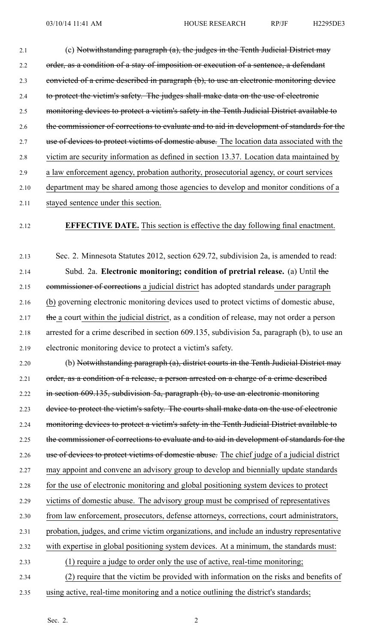2.1 (c) Notwithstanding paragraph (a), the judges in the Tenth Judicial District may 2.2 order, as a condition of a stay of imposition or execution of a sentence, a defendant 2.3 convicted of <sup>a</sup> crime described in paragraph (b), to use an electronic monitoring device 2.4 to protect the victim's safety. The judges shall make data on the use of electronic 2.5 monitoring devices to protect a victim's safety in the Tenth Judicial District available to 2.6 the commissioner of corrections to evaluate and to aid in development of standards for the 2.7 use of devices to protect victims of domestic abuse. The location data associated with the 2.8 victim are security information as defined in section 13.37. Location data maintained by 2.9 <sup>a</sup> law enforcement agency, probation authority, prosecutorial agency, or court services 2.10 department may be shared among those agencies to develop and monitor conditions of <sup>a</sup> 2.11 stayed sentence under this section.

## 2.12 **EFFECTIVE DATE.** This section is effective the day following final enactment.

2.13 Sec. 2. Minnesota Statutes 2012, section 629.72, subdivision 2a, is amended to read: 2.14 Subd. 2a. **Electronic monitoring; condition of pretrial release.** (a) Until the 2.15 commissioner of corrections a judicial district has adopted standards under paragraph 2.16 (b) governing electronic monitoring devices used to protect victims of domestic abuse, 2.17 the a court within the judicial district, as a condition of release, may not order a person 2.18 arrested for <sup>a</sup> crime described in section 609.135, subdivision 5a, paragraph (b), to use an 2.19 electronic monitoring device to protect <sup>a</sup> victim's safety.

2.20 (b) Notwithstanding paragraph (a), district courts in the Tenth Judicial District may 2.21 order, as a condition of a release, a person arrested on a charge of a crime described 2.22 in section 609.135, subdivision 5a, paragraph (b), to use an electronic monitoring 2.23 device to protect the victim's safety. The courts shall make data on the use of electronic 2.24 monitoring devices to protect a victim's safety in the Tenth Judicial District available to 2.25 the commissioner of corrections to evaluate and to aid in development of standards for the 2.26 use of devices to protect victims of domestic abuse. The chief judge of a judicial district 2.27 may appoint and convene an advisory group to develop and biennially update standards 2.28 for the use of electronic monitoring and global positioning system devices to protect 2.29 victims of domestic abuse. The advisory group must be comprised of representatives 2.30 from law enforcement, prosecutors, defense attorneys, corrections, court administrators, 2.31 probation, judges, and crime victim organizations, and include an industry representative 2.32 with expertise in global positioning system devices. At <sup>a</sup> minimum, the standards must: 2.33 (1) require <sup>a</sup> judge to order only the use of active, real-time monitoring; 2.34 (2) require that the victim be provided with information on the risks and benefits of

2.35 using active, real-time monitoring and <sup>a</sup> notice outlining the district's standards;